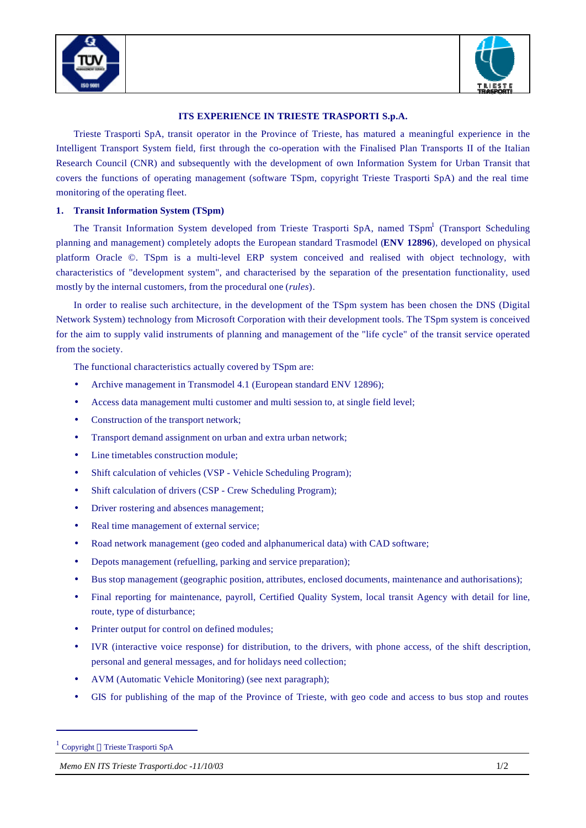



## **ITS EXPERIENCE IN TRIESTE TRASPORTI S.p.A.**

Trieste Trasporti SpA, transit operator in the Province of Trieste, has matured a meaningful experience in the Intelligent Transport System field, first through the co-operation with the Finalised Plan Transports II of the Italian Research Council (CNR) and subsequently with the development of own Information System for Urban Transit that covers the functions of operating management (software TSpm, copyright Trieste Trasporti SpA) and the real time monitoring of the operating fleet.

## **1. Transit Information System (TSpm)**

The Transit Information System developed from Trieste Trasporti SpA, named TSpm<sup>1</sup> (Transport Scheduling planning and management) completely adopts the European standard Trasmodel (**ENV 12896**), developed on physical platform Oracle ©. TSpm is a multi-level ERP system conceived and realised with object technology, with characteristics of "development system", and characterised by the separation of the presentation functionality, used mostly by the internal customers, from the procedural one (*rules*).

In order to realise such architecture, in the development of the TSpm system has been chosen the DNS (Digital Network System) technology from Microsoft Corporation with their development tools. The TSpm system is conceived for the aim to supply valid instruments of planning and management of the "life cycle" of the transit service operated from the society.

The functional characteristics actually covered by TSpm are:

- Archive management in Transmodel 4.1 (European standard ENV 12896);
- Access data management multi customer and multi session to, at single field level;
- Construction of the transport network;
- Transport demand assignment on urban and extra urban network;
- Line timetables construction module;
- Shift calculation of vehicles (VSP Vehicle Scheduling Program);
- Shift calculation of drivers (CSP Crew Scheduling Program);
- Driver rostering and absences management;
- Real time management of external service;
- Road network management (geo coded and alphanumerical data) with CAD software;
- Depots management (refuelling, parking and service preparation);
- Bus stop management (geographic position, attributes, enclosed documents, maintenance and authorisations);
- Final reporting for maintenance, payroll, Certified Quality System, local transit Agency with detail for line, route, type of disturbance;
- Printer output for control on defined modules;
- IVR (interactive voice response) for distribution, to the drivers, with phone access, of the shift description, personal and general messages, and for holidays need collection;
- AVM (Automatic Vehicle Monitoring) (see next paragraph);
- GIS for publishing of the map of the Province of Trieste, with geo code and access to bus stop and routes

 $\overline{a}$ 

<sup>&</sup>lt;sup>1</sup> Copyright © Trieste Trasporti SpA

*Memo EN ITS Trieste Trasporti.doc -11/10/03* 1/2